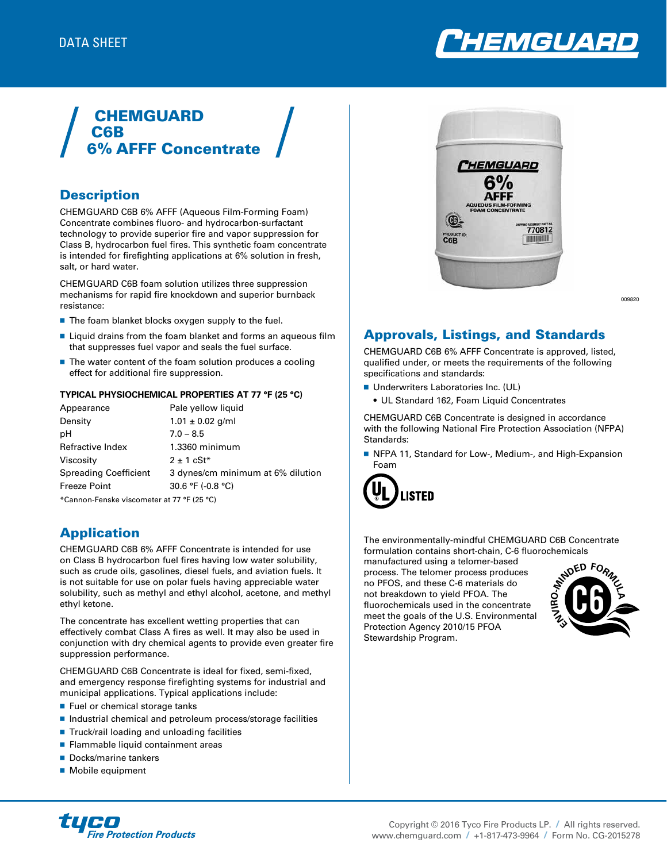

# **CHEMGUARD** C6B 6% AFFF Concentrate

## **Description**

CHEMGUARD C6B 6% AFFF (Aqueous Film-Forming Foam) Concentrate combines fluoro- and hydrocarbon-surfactant technology to provide superior fire and vapor suppression for Class B, hydrocarbon fuel fires. This synthetic foam concentrate is intended for firefighting applications at 6% solution in fresh, salt, or hard water.

CHEMGUARD C6B foam solution utilizes three suppression mechanisms for rapid fire knockdown and superior burnback resistance:

- The foam blanket blocks oxygen supply to the fuel.
- Liquid drains from the foam blanket and forms an aqueous film that suppresses fuel vapor and seals the fuel surface.
- $\blacksquare$  The water content of the foam solution produces a cooling effect for additional fire suppression.

#### **TYPICAL PHYSIOCHEMICAL PROPERTIES AT 77 °F (25 °C)**

| Appearance                                 | Pale yellow liquid                |  |  |
|--------------------------------------------|-----------------------------------|--|--|
| Density                                    | $1.01 \pm 0.02$ g/ml              |  |  |
| рH                                         | $7.0 - 8.5$                       |  |  |
| Refractive Index                           | 1.3360 minimum                    |  |  |
| Viscositv                                  | $2 \pm 1$ cSt <sup>*</sup>        |  |  |
| Spreading Coefficient                      | 3 dynes/cm minimum at 6% dilution |  |  |
| Freeze Point                               | 30.6 °F (-0.8 °C)                 |  |  |
| *Cannon-Fenske viscometer at 77 °F (25 °C) |                                   |  |  |

## Application

CHEMGUARD C6B 6% AFFF Concentrate is intended for use on Class B hydrocarbon fuel fires having low water solubility, such as crude oils, gasolines, diesel fuels, and aviation fuels. It is not suitable for use on polar fuels having appreciable water solubility, such as methyl and ethyl alcohol, acetone, and methyl ethyl ketone.

The concentrate has excellent wetting properties that can effectively combat Class A fires as well. It may also be used in conjunction with dry chemical agents to provide even greater fire suppression performance.

CHEMGUARD C6B Concentrate is ideal for fixed, semi-fixed, and emergency response firefighting systems for industrial and municipal applications. Typical applications include:

- Fuel or chemical storage tanks
- $\blacksquare$  Industrial chemical and petroleum process/storage facilities
- Truck/rail loading and unloading facilities
- Flammable liquid containment areas
- Docks/marine tankers
- Mobile equipment



009820

## Approvals, Listings, and Standards

CHEMGUARD C6B 6% AFFF Concentrate is approved, listed, qualified under, or meets the requirements of the following specifications and standards:

- **Underwriters Laboratories Inc. (UL)** 
	- UL Standard 162, Foam Liquid Concentrates

CHEMGUARD C6B Concentrate is designed in accordance with the following National Fire Protection Association (NFPA) Standards:

■ NFPA 11, Standard for Low-, Medium-, and High-Expansion Foam



The environmentally-mindful CHEMGUARD C6B Concentrate formulation contains short-chain, C-6 fluorochemicals

manufactured using a telomer-based process. The telomer process produces no PFOS, and these C-6 materials do not breakdown to yield PFOA. The fluorochemicals used in the concentrate meet the goals of the U.S. Environmental Protection Agency 2010/15 PFOA Stewardship Program.